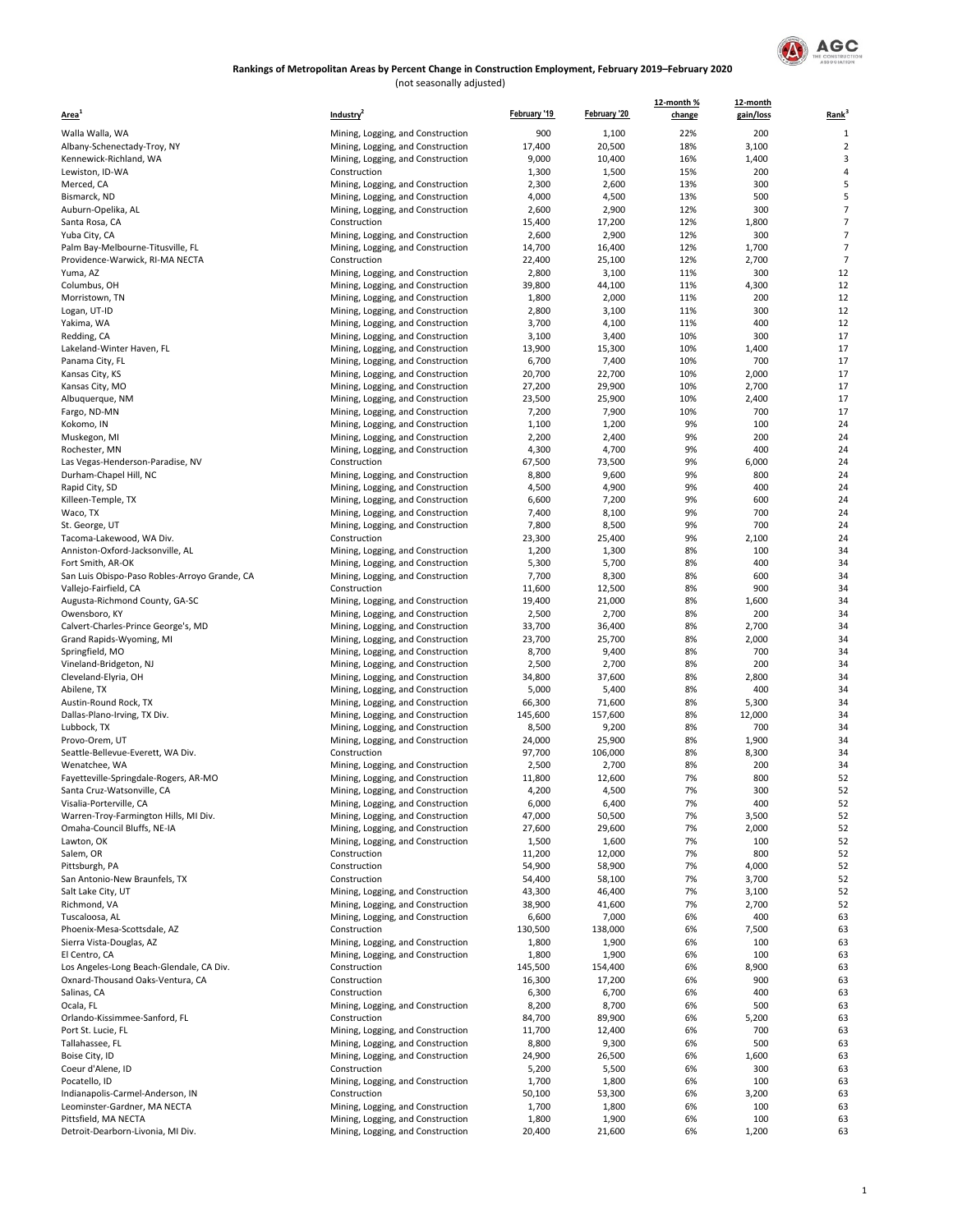

(not seasonally adjusted)

| Area                                                                | Industry <sup>2</sup>                                                  | February '19   | February '20   | 12-month %<br>change | 12-month<br>gain/loss | Rank <sup>3</sup> |
|---------------------------------------------------------------------|------------------------------------------------------------------------|----------------|----------------|----------------------|-----------------------|-------------------|
| Walla Walla, WA                                                     | Mining, Logging, and Construction                                      | 900            | 1,100          | 22%                  | 200                   | $\mathbf{1}$      |
| Albany-Schenectady-Troy, NY                                         | Mining, Logging, and Construction                                      | 17,400         | 20,500         | 18%                  | 3,100                 | $\overline{2}$    |
| Kennewick-Richland, WA                                              | Mining, Logging, and Construction                                      | 9,000          | 10,400         | 16%                  | 1,400                 | 3                 |
| Lewiston, ID-WA                                                     | Construction                                                           | 1,300          | 1,500          | 15%                  | 200                   | $\overline{4}$    |
| Merced, CA                                                          | Mining, Logging, and Construction                                      | 2,300          | 2,600          | 13%                  | 300                   | 5                 |
| Bismarck, ND                                                        | Mining, Logging, and Construction                                      | 4,000          | 4,500          | 13%                  | 500                   | 5                 |
| Auburn-Opelika, AL                                                  | Mining, Logging, and Construction                                      | 2,600          | 2,900          | 12%                  | 300                   | $\overline{7}$    |
| Santa Rosa, CA                                                      | Construction                                                           | 15,400         | 17,200         | 12%                  | 1,800                 | $\overline{7}$    |
| Yuba City, CA                                                       | Mining, Logging, and Construction                                      | 2,600          | 2,900          | 12%                  | 300                   | $\overline{7}$    |
| Palm Bay-Melbourne-Titusville, FL                                   | Mining, Logging, and Construction                                      | 14,700         | 16,400         | 12%                  | 1,700                 | $\overline{7}$    |
| Providence-Warwick, RI-MA NECTA                                     | Construction                                                           | 22,400         | 25,100         | 12%                  | 2,700                 | $\overline{7}$    |
| Yuma, AZ                                                            | Mining, Logging, and Construction                                      | 2,800          | 3,100          | 11%                  | 300                   | 12                |
| Columbus, OH                                                        | Mining, Logging, and Construction                                      | 39,800         | 44,100         | 11%                  | 4,300                 | 12                |
| Morristown, TN                                                      | Mining, Logging, and Construction                                      | 1,800          | 2,000          | 11%                  | 200                   | 12                |
| Logan, UT-ID                                                        | Mining, Logging, and Construction                                      | 2,800          | 3,100          | 11%                  | 300                   | 12                |
| Yakima, WA                                                          | Mining, Logging, and Construction                                      | 3,700          | 4,100          | 11%                  | 400                   | 12                |
| Redding, CA                                                         | Mining, Logging, and Construction                                      | 3,100          | 3,400          | 10%                  | 300                   | 17                |
| Lakeland-Winter Haven, FL                                           | Mining, Logging, and Construction                                      | 13,900         | 15,300         | 10%                  | 1,400                 | 17                |
| Panama City, FL                                                     | Mining, Logging, and Construction                                      | 6,700          | 7,400          | 10%                  | 700                   | 17                |
| Kansas City, KS                                                     | Mining, Logging, and Construction                                      | 20,700         | 22,700         | 10%                  | 2,000                 | 17                |
| Kansas City, MO                                                     | Mining, Logging, and Construction                                      | 27,200         | 29,900         | 10%                  | 2,700                 | 17                |
| Albuquerque, NM                                                     | Mining, Logging, and Construction                                      | 23,500         | 25,900         | 10%                  | 2,400                 | 17                |
| Fargo, ND-MN                                                        | Mining, Logging, and Construction                                      | 7,200          | 7,900          | 10%                  | 700                   | 17                |
| Kokomo, IN                                                          | Mining, Logging, and Construction                                      | 1,100          | 1,200          | 9%                   | 100                   | 24                |
| Muskegon, MI                                                        | Mining, Logging, and Construction                                      | 2,200          | 2,400          | 9%<br>9%             | 200                   | 24<br>24          |
| Rochester, MN                                                       | Mining, Logging, and Construction                                      | 4,300          | 4,700          |                      | 400                   | 24                |
| Las Vegas-Henderson-Paradise, NV                                    | Construction                                                           | 67,500         | 73,500         | 9%<br>9%             | 6,000                 |                   |
| Durham-Chapel Hill, NC<br>Rapid City, SD                            | Mining, Logging, and Construction<br>Mining, Logging, and Construction | 8,800<br>4,500 | 9,600          | 9%                   | 800<br>400            | 24<br>24          |
| Killeen-Temple, TX                                                  |                                                                        | 6,600          | 4,900<br>7,200 | 9%                   | 600                   | 24                |
| Waco, TX                                                            | Mining, Logging, and Construction<br>Mining, Logging, and Construction | 7,400          | 8,100          | 9%                   | 700                   | 24                |
| St. George, UT                                                      | Mining, Logging, and Construction                                      | 7,800          | 8,500          | 9%                   | 700                   | 24                |
| Tacoma-Lakewood, WA Div.                                            | Construction                                                           | 23,300         | 25,400         | 9%                   | 2,100                 | 24                |
| Anniston-Oxford-Jacksonville, AL                                    | Mining, Logging, and Construction                                      | 1,200          | 1,300          | 8%                   | 100                   | 34                |
| Fort Smith, AR-OK                                                   | Mining, Logging, and Construction                                      | 5,300          | 5,700          | 8%                   | 400                   | 34                |
| San Luis Obispo-Paso Robles-Arroyo Grande, CA                       | Mining, Logging, and Construction                                      | 7,700          | 8,300          | 8%                   | 600                   | 34                |
| Vallejo-Fairfield, CA                                               | Construction                                                           | 11,600         | 12,500         | 8%                   | 900                   | 34                |
| Augusta-Richmond County, GA-SC                                      | Mining, Logging, and Construction                                      | 19,400         | 21,000         | 8%                   | 1,600                 | 34                |
| Owensboro, KY                                                       | Mining, Logging, and Construction                                      | 2,500          | 2,700          | 8%                   | 200                   | 34                |
| Calvert-Charles-Prince George's, MD                                 | Mining, Logging, and Construction                                      | 33,700         | 36,400         | 8%                   | 2,700                 | 34                |
| Grand Rapids-Wyoming, MI                                            | Mining, Logging, and Construction                                      | 23,700         | 25,700         | 8%                   | 2,000                 | 34                |
| Springfield, MO                                                     | Mining, Logging, and Construction                                      | 8,700          | 9,400          | 8%                   | 700                   | 34                |
| Vineland-Bridgeton, NJ                                              | Mining, Logging, and Construction                                      | 2,500          | 2,700          | 8%                   | 200                   | 34                |
| Cleveland-Elyria, OH                                                | Mining, Logging, and Construction                                      | 34,800         | 37,600         | 8%                   | 2,800                 | 34                |
| Abilene, TX                                                         | Mining, Logging, and Construction                                      | 5,000          | 5,400          | 8%                   | 400                   | 34                |
| Austin-Round Rock, TX                                               | Mining, Logging, and Construction                                      | 66,300         | 71,600         | 8%                   | 5,300                 | 34                |
| Dallas-Plano-Irving, TX Div.                                        | Mining, Logging, and Construction                                      | 145,600        | 157,600        | 8%                   | 12,000                | 34                |
| Lubbock, TX                                                         | Mining, Logging, and Construction                                      | 8,500          | 9,200          | 8%                   | 700                   | 34                |
| Provo-Orem, UT                                                      | Mining, Logging, and Construction                                      | 24,000         | 25,900         | 8%                   | 1,900                 | 34                |
| Seattle-Bellevue-Everett, WA Div.                                   | Construction                                                           | 97,700         | 106,000        | 8%                   | 8,300                 | 34                |
| Wenatchee, WA                                                       | Mining, Logging, and Construction                                      | 2,500          | 2,700          | 8%                   | 200                   | 34                |
| Fayetteville-Springdale-Rogers, AR-MO<br>Santa Cruz-Watsonville, CA | Mining, Logging, and Construction                                      | 11,800         | 12,600         | 7%<br>7%             | 800<br>300            | 52<br>52          |
| Visalia-Porterville, CA                                             | Mining, Logging, and Construction<br>Mining, Logging, and Construction | 4,200<br>6,000 | 4,500<br>6,400 | 7%                   | 400                   | 52                |
| Warren-Troy-Farmington Hills, MI Div.                               | Mining, Logging, and Construction                                      | 47,000         | 50,500         | 7%                   | 3,500                 | 52                |
| Omaha-Council Bluffs, NE-IA                                         | Mining, Logging, and Construction                                      | 27,600         | 29,600         | 7%                   | 2,000                 | 52                |
| Lawton, OK                                                          | Mining, Logging, and Construction                                      | 1,500          | 1,600          | 7%                   | 100                   | 52                |
| Salem, OR                                                           | Construction                                                           | 11,200         | 12,000         | 7%                   | 800                   | 52                |
| Pittsburgh, PA                                                      | Construction                                                           | 54,900         | 58,900         | 7%                   | 4,000                 | 52                |
| San Antonio-New Braunfels, TX                                       | Construction                                                           | 54,400         | 58,100         | 7%                   | 3,700                 | 52                |
| Salt Lake City, UT                                                  | Mining, Logging, and Construction                                      | 43,300         | 46,400         | 7%                   | 3,100                 | 52                |
| Richmond, VA                                                        | Mining, Logging, and Construction                                      | 38,900         | 41,600         | 7%                   | 2,700                 | 52                |
| Tuscaloosa, AL                                                      | Mining, Logging, and Construction                                      | 6,600          | 7,000          | 6%                   | 400                   | 63                |
| Phoenix-Mesa-Scottsdale, AZ                                         | Construction                                                           | 130,500        | 138,000        | 6%                   | 7,500                 | 63                |
| Sierra Vista-Douglas, AZ                                            | Mining, Logging, and Construction                                      | 1,800          | 1,900          | 6%                   | 100                   | 63                |
| El Centro, CA                                                       | Mining, Logging, and Construction                                      | 1,800          | 1,900          | 6%                   | 100                   | 63                |
| Los Angeles-Long Beach-Glendale, CA Div.                            | Construction                                                           | 145,500        | 154,400        | 6%                   | 8,900                 | 63                |
| Oxnard-Thousand Oaks-Ventura, CA                                    | Construction                                                           | 16,300         | 17,200         | 6%                   | 900                   | 63                |
| Salinas, CA                                                         | Construction                                                           | 6,300          | 6,700          | 6%                   | 400                   | 63                |
| Ocala, FL                                                           | Mining, Logging, and Construction                                      | 8,200          | 8,700          | 6%                   | 500                   | 63                |
| Orlando-Kissimmee-Sanford, FL                                       | Construction                                                           | 84,700         | 89,900         | 6%                   | 5,200                 | 63                |
| Port St. Lucie, FL                                                  | Mining, Logging, and Construction                                      | 11,700         | 12,400         | 6%                   | 700                   | 63                |
| Tallahassee, FL                                                     | Mining, Logging, and Construction                                      | 8,800          | 9,300          | 6%                   | 500                   | 63                |
| Boise City, ID                                                      | Mining, Logging, and Construction                                      | 24,900         | 26,500         | 6%                   | 1,600                 | 63                |
| Coeur d'Alene, ID                                                   | Construction                                                           | 5,200          | 5,500          | 6%                   | 300                   | 63                |
| Pocatello, ID                                                       | Mining, Logging, and Construction                                      | 1,700          | 1,800          | 6%                   | 100                   | 63                |
| Indianapolis-Carmel-Anderson, IN                                    | Construction                                                           | 50,100         | 53,300         | 6%                   | 3,200                 | 63                |
| Leominster-Gardner, MA NECTA                                        | Mining, Logging, and Construction                                      | 1,700          | 1,800          | 6%                   | 100                   | 63                |
| Pittsfield, MA NECTA                                                | Mining, Logging, and Construction                                      | 1,800          | 1,900          | 6%                   | 100                   | 63                |
| Detroit-Dearborn-Livonia, MI Div.                                   | Mining, Logging, and Construction                                      | 20,400         | 21,600         | 6%                   | 1,200                 | 63                |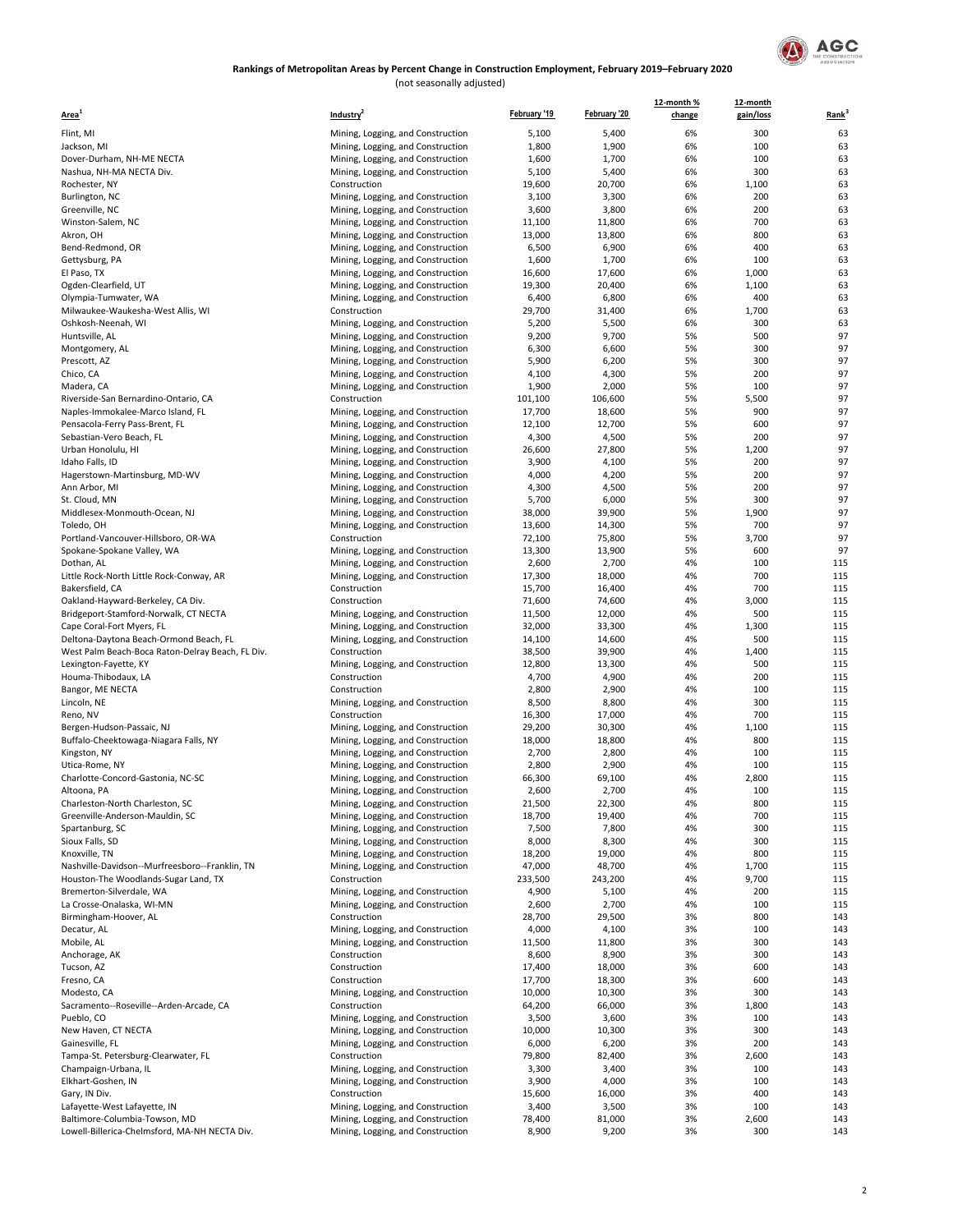

#### (not seasonally adjusted) **Rankings of Metropolitan Areas by Percent Change in Construction Employment, February 2019–February 2020**

| Area <sup>1</sup>                                 | Industry <sup>2</sup>                                                  | February '19     | February '20     | 12-month %<br>change | 12-month<br>gain/loss | Rank <sup>3</sup> |
|---------------------------------------------------|------------------------------------------------------------------------|------------------|------------------|----------------------|-----------------------|-------------------|
| Flint, MI                                         | Mining, Logging, and Construction                                      | 5,100            | 5,400            | 6%                   | 300                   | 63                |
| Jackson, MI                                       | Mining, Logging, and Construction                                      | 1,800            | 1,900            | 6%                   | 100                   | 63                |
| Dover-Durham, NH-ME NECTA                         | Mining, Logging, and Construction                                      | 1,600            | 1,700            | 6%                   | 100                   | 63                |
| Nashua, NH-MA NECTA Div.                          | Mining, Logging, and Construction                                      | 5,100            | 5,400            | 6%                   | 300                   | 63                |
| Rochester, NY                                     | Construction                                                           | 19,600           | 20,700           | 6%                   | 1,100                 | 63                |
| Burlington, NC                                    | Mining, Logging, and Construction                                      | 3,100            | 3,300            | 6%                   | 200                   | 63                |
| Greenville, NC                                    | Mining, Logging, and Construction                                      | 3,600            | 3,800            | 6%                   | 200                   | 63                |
| Winston-Salem, NC                                 | Mining, Logging, and Construction                                      | 11,100           | 11,800           | 6%                   | 700                   | 63                |
| Akron, OH                                         | Mining, Logging, and Construction                                      | 13,000           | 13,800           | 6%                   | 800                   | 63                |
| Bend-Redmond, OR                                  | Mining, Logging, and Construction                                      | 6,500            | 6,900            | 6%                   | 400                   | 63                |
| Gettysburg, PA                                    | Mining, Logging, and Construction                                      | 1,600            | 1,700            | 6%                   | 100                   | 63                |
| El Paso, TX<br>Ogden-Clearfield, UT               | Mining, Logging, and Construction                                      | 16,600           | 17,600           | 6%<br>6%             | 1,000                 | 63                |
| Olympia-Tumwater, WA                              | Mining, Logging, and Construction                                      | 19,300<br>6,400  | 20,400<br>6,800  | 6%                   | 1,100<br>400          | 63<br>63          |
| Milwaukee-Waukesha-West Allis, WI                 | Mining, Logging, and Construction<br>Construction                      | 29,700           | 31,400           | 6%                   | 1,700                 | 63                |
| Oshkosh-Neenah, WI                                | Mining, Logging, and Construction                                      | 5,200            | 5,500            | 6%                   | 300                   | 63                |
| Huntsville, AL                                    | Mining, Logging, and Construction                                      | 9,200            | 9,700            | 5%                   | 500                   | 97                |
| Montgomery, AL                                    | Mining, Logging, and Construction                                      | 6,300            | 6,600            | 5%                   | 300                   | 97                |
| Prescott, AZ                                      | Mining, Logging, and Construction                                      | 5,900            | 6,200            | 5%                   | 300                   | 97                |
| Chico, CA                                         | Mining, Logging, and Construction                                      | 4,100            | 4,300            | 5%                   | 200                   | 97                |
| Madera, CA                                        | Mining, Logging, and Construction                                      | 1,900            | 2,000            | 5%                   | 100                   | 97                |
| Riverside-San Bernardino-Ontario, CA              | Construction                                                           | 101,100          | 106,600          | 5%                   | 5,500                 | 97                |
| Naples-Immokalee-Marco Island, FL                 | Mining, Logging, and Construction                                      | 17,700           | 18,600           | 5%                   | 900                   | 97                |
| Pensacola-Ferry Pass-Brent, FL                    | Mining, Logging, and Construction                                      | 12,100           | 12,700           | 5%                   | 600                   | 97                |
| Sebastian-Vero Beach, FL                          | Mining, Logging, and Construction                                      | 4,300            | 4,500            | 5%                   | 200                   | 97                |
| Urban Honolulu, HI                                | Mining, Logging, and Construction                                      | 26,600           | 27,800           | 5%                   | 1,200                 | 97                |
| Idaho Falls, ID                                   | Mining, Logging, and Construction                                      | 3,900            | 4,100            | 5%                   | 200                   | 97                |
| Hagerstown-Martinsburg, MD-WV                     | Mining, Logging, and Construction                                      | 4,000            | 4,200            | 5%                   | 200                   | 97                |
| Ann Arbor, MI                                     | Mining, Logging, and Construction                                      | 4,300            | 4,500            | 5%                   | 200                   | 97                |
| St. Cloud, MN                                     | Mining, Logging, and Construction                                      | 5,700            | 6,000            | 5%                   | 300                   | 97                |
| Middlesex-Monmouth-Ocean, NJ                      | Mining, Logging, and Construction                                      | 38,000<br>13,600 | 39,900<br>14,300 | 5%<br>5%             | 1,900<br>700          | 97<br>97          |
| Toledo, OH<br>Portland-Vancouver-Hillsboro, OR-WA | Mining, Logging, and Construction<br>Construction                      | 72,100           | 75,800           | 5%                   | 3,700                 | 97                |
| Spokane-Spokane Valley, WA                        | Mining, Logging, and Construction                                      | 13,300           | 13,900           | 5%                   | 600                   | 97                |
| Dothan, AL                                        | Mining, Logging, and Construction                                      | 2,600            | 2,700            | 4%                   | 100                   | 115               |
| Little Rock-North Little Rock-Conway, AR          | Mining, Logging, and Construction                                      | 17,300           | 18,000           | 4%                   | 700                   | 115               |
| Bakersfield, CA                                   | Construction                                                           | 15,700           | 16,400           | 4%                   | 700                   | 115               |
| Oakland-Hayward-Berkeley, CA Div.                 | Construction                                                           | 71,600           | 74,600           | 4%                   | 3,000                 | 115               |
| Bridgeport-Stamford-Norwalk, CT NECTA             | Mining, Logging, and Construction                                      | 11,500           | 12,000           | 4%                   | 500                   | 115               |
| Cape Coral-Fort Myers, FL                         | Mining, Logging, and Construction                                      | 32,000           | 33,300           | 4%                   | 1,300                 | 115               |
| Deltona-Daytona Beach-Ormond Beach, FL            | Mining, Logging, and Construction                                      | 14,100           | 14,600           | 4%                   | 500                   | 115               |
| West Palm Beach-Boca Raton-Delray Beach, FL Div.  | Construction                                                           | 38,500           | 39,900           | 4%                   | 1,400                 | 115               |
| Lexington-Fayette, KY                             | Mining, Logging, and Construction                                      | 12,800           | 13,300           | 4%                   | 500                   | 115               |
| Houma-Thibodaux, LA                               | Construction                                                           | 4,700            | 4,900            | 4%                   | 200                   | 115               |
| Bangor, ME NECTA                                  | Construction                                                           | 2,800            | 2,900            | 4%                   | 100                   | 115               |
| Lincoln, NE                                       | Mining, Logging, and Construction                                      | 8,500            | 8,800            | 4%                   | 300                   | 115               |
| Reno, NV                                          | Construction                                                           | 16,300           | 17,000           | 4%                   | 700                   | 115               |
| Bergen-Hudson-Passaic, NJ                         | Mining, Logging, and Construction                                      | 29,200           | 30,300           | 4%                   | 1,100                 | 115               |
| Buffalo-Cheektowaga-Niagara Falls, NY             | Mining, Logging, and Construction                                      | 18,000           | 18,800           | 4%<br>4%             | 800<br>100            | 115<br>115        |
| Kingston, NY<br>Utica-Rome, NY                    | Mining, Logging, and Construction                                      | 2,700<br>2,800   | 2,800<br>2,900   | 4%                   | 100                   | 115               |
| Charlotte-Concord-Gastonia, NC-SC                 | Mining, Logging, and Construction<br>Mining, Logging, and Construction | 66,300           | 69,100           | 4%                   | 2,800                 | 115               |
| Altoona, PA                                       | Mining, Logging, and Construction                                      | 2,600            | 2,700            | 4%                   | 100                   | 115               |
| Charleston-North Charleston, SC                   | Mining, Logging, and Construction                                      | 21,500           | 22,300           | 4%                   | 800                   | 115               |
| Greenville-Anderson-Mauldin, SC                   | Mining, Logging, and Construction                                      | 18,700           | 19,400           | 4%                   | 700                   | 115               |
| Spartanburg, SC                                   | Mining, Logging, and Construction                                      | 7,500            | 7,800            | 4%                   | 300                   | 115               |
| Sioux Falls, SD                                   | Mining, Logging, and Construction                                      | 8,000            | 8,300            | 4%                   | 300                   | 115               |
| Knoxville, TN                                     | Mining, Logging, and Construction                                      | 18,200           | 19,000           | 4%                   | 800                   | 115               |
| Nashville-Davidson--Murfreesboro--Franklin, TN    | Mining, Logging, and Construction                                      | 47,000           | 48,700           | 4%                   | 1,700                 | 115               |
| Houston-The Woodlands-Sugar Land, TX              | Construction                                                           | 233,500          | 243,200          | 4%                   | 9,700                 | 115               |
| Bremerton-Silverdale, WA                          | Mining, Logging, and Construction                                      | 4,900            | 5,100            | 4%                   | 200                   | 115               |
| La Crosse-Onalaska, WI-MN                         | Mining, Logging, and Construction                                      | 2,600            | 2,700            | 4%                   | 100                   | 115               |
| Birmingham-Hoover, AL                             | Construction                                                           | 28,700           | 29,500           | 3%                   | 800                   | 143               |
| Decatur, AL                                       | Mining, Logging, and Construction                                      | 4,000            | 4,100            | 3%                   | 100                   | 143               |
| Mobile, AL                                        | Mining, Logging, and Construction                                      | 11,500           | 11,800           | 3%                   | 300                   | 143               |
| Anchorage, AK                                     | Construction                                                           | 8,600            | 8,900            | 3%                   | 300                   | 143               |
| Tucson, AZ                                        | Construction                                                           | 17,400           | 18,000           | 3%                   | 600                   | 143               |
| Fresno, CA                                        | Construction                                                           | 17,700           | 18,300           | 3%                   | 600                   | 143               |
| Modesto, CA                                       | Mining, Logging, and Construction                                      | 10,000           | 10,300           | 3%                   | 300                   | 143               |
| Sacramento--Roseville--Arden-Arcade, CA           | Construction                                                           | 64,200<br>3,500  | 66,000<br>3,600  | 3%<br>3%             | 1,800<br>100          | 143<br>143        |
| Pueblo, CO<br>New Haven, CT NECTA                 | Mining, Logging, and Construction<br>Mining, Logging, and Construction | 10,000           | 10,300           | 3%                   | 300                   | 143               |
| Gainesville, FL                                   | Mining, Logging, and Construction                                      | 6,000            | 6,200            | 3%                   | 200                   | 143               |
| Tampa-St. Petersburg-Clearwater, FL               | Construction                                                           | 79,800           | 82,400           | 3%                   | 2,600                 | 143               |
| Champaign-Urbana, IL                              | Mining, Logging, and Construction                                      | 3,300            | 3,400            | 3%                   | 100                   | 143               |
| Elkhart-Goshen, IN                                | Mining, Logging, and Construction                                      | 3,900            | 4,000            | 3%                   | 100                   | 143               |
| Gary, IN Div.                                     | Construction                                                           | 15,600           | 16,000           | 3%                   | 400                   | 143               |
| Lafayette-West Lafayette, IN                      | Mining, Logging, and Construction                                      | 3,400            | 3,500            | 3%                   | 100                   | 143               |
| Baltimore-Columbia-Towson, MD                     | Mining, Logging, and Construction                                      | 78,400           | 81,000           | 3%                   | 2,600                 | 143               |
| Lowell-Billerica-Chelmsford, MA-NH NECTA Div.     | Mining, Logging, and Construction                                      | 8,900            | 9,200            | 3%                   | 300                   | 143               |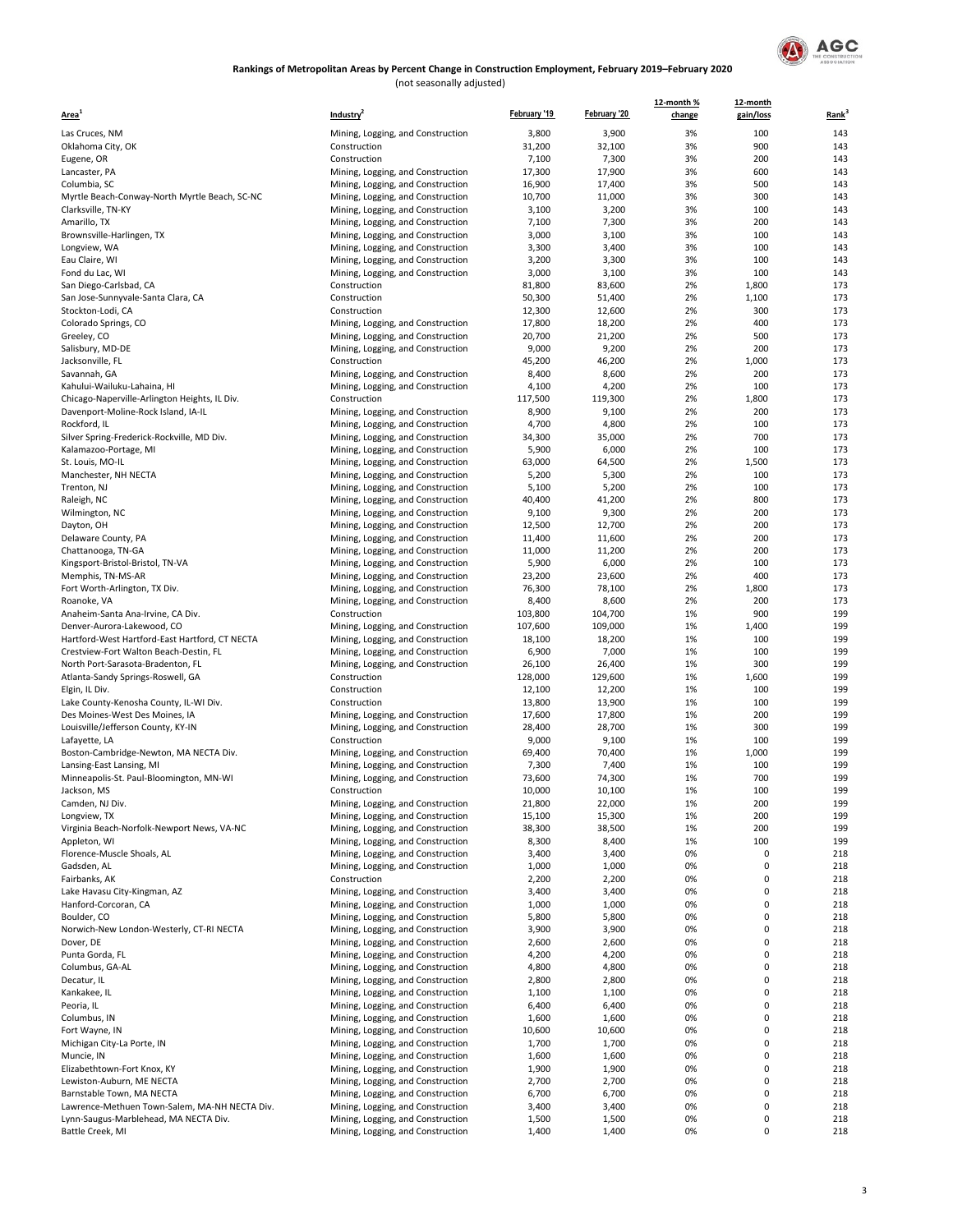

(not seasonally adjusted)

| Area <sup>1</sup>                                          | Industry <sup>4</sup>                                                  | February '19    | February '20     | 12-month %<br>change | 12-month<br>gain/loss | Rank <sup>3</sup> |
|------------------------------------------------------------|------------------------------------------------------------------------|-----------------|------------------|----------------------|-----------------------|-------------------|
| Las Cruces, NM                                             | Mining, Logging, and Construction                                      | 3,800           | 3,900            | 3%                   | 100                   | 143               |
| Oklahoma City, OK                                          | Construction                                                           | 31,200          | 32,100           | 3%                   | 900                   | 143               |
| Eugene, OR                                                 | Construction                                                           | 7,100           | 7,300            | 3%                   | 200                   | 143               |
| Lancaster, PA                                              | Mining, Logging, and Construction                                      | 17,300          | 17,900           | 3%                   | 600                   | 143               |
| Columbia, SC                                               | Mining, Logging, and Construction                                      | 16,900          | 17,400           | 3%                   | 500                   | 143               |
| Myrtle Beach-Conway-North Myrtle Beach, SC-NC              | Mining, Logging, and Construction                                      | 10,700          | 11,000           | 3%                   | 300                   | 143               |
| Clarksville, TN-KY                                         | Mining, Logging, and Construction                                      | 3,100           | 3,200            | 3%                   | 100                   | 143               |
| Amarillo, TX                                               | Mining, Logging, and Construction                                      | 7,100           | 7,300            | 3%                   | 200                   | 143               |
| Brownsville-Harlingen, TX                                  | Mining, Logging, and Construction                                      | 3,000           | 3,100            | 3%                   | 100                   | 143<br>143        |
| Longview, WA<br>Eau Claire, WI                             | Mining, Logging, and Construction                                      | 3,300<br>3,200  | 3,400<br>3,300   | 3%<br>3%             | 100<br>100            | 143               |
| Fond du Lac, WI                                            | Mining, Logging, and Construction<br>Mining, Logging, and Construction | 3,000           | 3,100            | 3%                   | 100                   | 143               |
| San Diego-Carlsbad, CA                                     | Construction                                                           | 81,800          | 83,600           | 2%                   | 1,800                 | 173               |
| San Jose-Sunnyvale-Santa Clara, CA                         | Construction                                                           | 50,300          | 51,400           | 2%                   | 1,100                 | 173               |
| Stockton-Lodi, CA                                          | Construction                                                           | 12,300          | 12,600           | 2%                   | 300                   | 173               |
| Colorado Springs, CO                                       | Mining, Logging, and Construction                                      | 17,800          | 18,200           | 2%                   | 400                   | 173               |
| Greeley, CO                                                | Mining, Logging, and Construction                                      | 20,700          | 21,200           | 2%                   | 500                   | 173               |
| Salisbury, MD-DE                                           | Mining, Logging, and Construction                                      | 9,000           | 9,200            | 2%                   | 200                   | 173               |
| Jacksonville, FL                                           | Construction                                                           | 45,200          | 46,200           | 2%                   | 1,000                 | 173               |
| Savannah, GA                                               | Mining, Logging, and Construction                                      | 8,400           | 8,600            | 2%                   | 200                   | 173               |
| Kahului-Wailuku-Lahaina, HI                                | Mining, Logging, and Construction                                      | 4,100           | 4,200            | 2%                   | 100                   | 173               |
| Chicago-Naperville-Arlington Heights, IL Div.              | Construction                                                           | 117,500         | 119,300          | 2%                   | 1,800                 | 173               |
| Davenport-Moline-Rock Island, IA-IL                        | Mining, Logging, and Construction<br>Mining, Logging, and Construction | 8,900           | 9,100            | 2%<br>2%             | 200<br>100            | 173<br>173        |
| Rockford, IL<br>Silver Spring-Frederick-Rockville, MD Div. | Mining, Logging, and Construction                                      | 4,700<br>34,300 | 4,800<br>35,000  | 2%                   | 700                   | 173               |
| Kalamazoo-Portage, MI                                      | Mining, Logging, and Construction                                      | 5,900           | 6,000            | 2%                   | 100                   | 173               |
| St. Louis, MO-IL                                           | Mining, Logging, and Construction                                      | 63,000          | 64,500           | 2%                   | 1,500                 | 173               |
| Manchester, NH NECTA                                       | Mining, Logging, and Construction                                      | 5,200           | 5,300            | 2%                   | 100                   | 173               |
| Trenton, NJ                                                | Mining, Logging, and Construction                                      | 5,100           | 5,200            | 2%                   | 100                   | 173               |
| Raleigh, NC                                                | Mining, Logging, and Construction                                      | 40,400          | 41,200           | 2%                   | 800                   | 173               |
| Wilmington, NC                                             | Mining, Logging, and Construction                                      | 9,100           | 9,300            | 2%                   | 200                   | 173               |
| Dayton, OH                                                 | Mining, Logging, and Construction                                      | 12,500          | 12,700           | 2%                   | 200                   | 173               |
| Delaware County, PA                                        | Mining, Logging, and Construction                                      | 11,400          | 11,600           | 2%                   | 200                   | 173               |
| Chattanooga, TN-GA                                         | Mining, Logging, and Construction                                      | 11,000          | 11,200           | 2%                   | 200                   | 173               |
| Kingsport-Bristol-Bristol, TN-VA                           | Mining, Logging, and Construction                                      | 5,900           | 6,000            | 2%                   | 100                   | 173               |
| Memphis, TN-MS-AR                                          | Mining, Logging, and Construction                                      | 23,200          | 23,600           | 2%                   | 400                   | 173               |
| Fort Worth-Arlington, TX Div.                              | Mining, Logging, and Construction                                      | 76,300<br>8,400 | 78,100           | 2%<br>2%             | 1,800<br>200          | 173<br>173        |
| Roanoke, VA<br>Anaheim-Santa Ana-Irvine, CA Div.           | Mining, Logging, and Construction<br>Construction                      | 103,800         | 8,600<br>104,700 | 1%                   | 900                   | 199               |
| Denver-Aurora-Lakewood, CO                                 | Mining, Logging, and Construction                                      | 107,600         | 109,000          | 1%                   | 1,400                 | 199               |
| Hartford-West Hartford-East Hartford, CT NECTA             | Mining, Logging, and Construction                                      | 18,100          | 18,200           | 1%                   | 100                   | 199               |
| Crestview-Fort Walton Beach-Destin, FL                     | Mining, Logging, and Construction                                      | 6,900           | 7,000            | 1%                   | 100                   | 199               |
| North Port-Sarasota-Bradenton, FL                          | Mining, Logging, and Construction                                      | 26,100          | 26,400           | 1%                   | 300                   | 199               |
| Atlanta-Sandy Springs-Roswell, GA                          | Construction                                                           | 128,000         | 129,600          | 1%                   | 1,600                 | 199               |
| Elgin, IL Div.                                             | Construction                                                           | 12,100          | 12,200           | 1%                   | 100                   | 199               |
| Lake County-Kenosha County, IL-WI Div.                     | Construction                                                           | 13,800          | 13,900           | 1%                   | 100                   | 199               |
| Des Moines-West Des Moines, IA                             | Mining, Logging, and Construction                                      | 17,600          | 17,800           | 1%                   | 200                   | 199               |
| Louisville/Jefferson County, KY-IN                         | Mining, Logging, and Construction                                      | 28,400          | 28,700           | 1%<br>1%             | 300                   | 199               |
| Lafayette, LA<br>Boston-Cambridge-Newton, MA NECTA Div.    | Construction<br>Mining, Logging, and Construction                      | 9,000<br>69,400 | 9,100<br>70,400  | 1%                   | 100<br>1,000          | 199<br>199        |
| Lansing-East Lansing, MI                                   | Mining, Logging, and Construction                                      | 7,300           | 7,400            | 1%                   | 100                   | 199               |
| Minneapolis-St. Paul-Bloomington, MN-WI                    | Mining, Logging, and Construction                                      | 73,600          | 74,300           | 1%                   | 700                   | 199               |
| Jackson, MS                                                | Construction                                                           | 10,000          | 10,100           | 1%                   | 100                   | 199               |
| Camden, NJ Div.                                            | Mining, Logging, and Construction                                      | 21,800          | 22,000           | 1%                   | 200                   | 199               |
| Longview, TX                                               | Mining, Logging, and Construction                                      | 15,100          | 15,300           | 1%                   | 200                   | 199               |
| Virginia Beach-Norfolk-Newport News, VA-NC                 | Mining, Logging, and Construction                                      | 38,300          | 38,500           | 1%                   | 200                   | 199               |
| Appleton, WI                                               | Mining, Logging, and Construction                                      | 8,300           | 8,400            | 1%                   | 100                   | 199               |
| Florence-Muscle Shoals, AL                                 | Mining, Logging, and Construction                                      | 3,400           | 3,400            | 0%                   | 0                     | 218               |
| Gadsden, AL                                                | Mining, Logging, and Construction                                      | 1,000           | 1,000            | 0%                   | 0                     | 218               |
| Fairbanks, AK                                              | Construction                                                           | 2,200           | 2,200            | 0%                   | 0                     | 218               |
| Lake Havasu City-Kingman, AZ                               | Mining, Logging, and Construction                                      | 3,400           | 3,400            | 0%                   | 0                     | 218               |
| Hanford-Corcoran, CA<br>Boulder, CO                        | Mining, Logging, and Construction<br>Mining, Logging, and Construction | 1,000<br>5,800  | 1,000            | 0%<br>0%             | $\pmb{0}$<br>0        | 218<br>218        |
| Norwich-New London-Westerly, CT-RI NECTA                   | Mining, Logging, and Construction                                      | 3,900           | 5,800<br>3,900   | 0%                   | $\pmb{0}$             | 218               |
| Dover, DE                                                  | Mining, Logging, and Construction                                      | 2,600           | 2,600            | 0%                   | 0                     | 218               |
| Punta Gorda, FL                                            | Mining, Logging, and Construction                                      | 4,200           | 4,200            | 0%                   | $\pmb{0}$             | 218               |
| Columbus, GA-AL                                            | Mining, Logging, and Construction                                      | 4,800           | 4,800            | 0%                   | 0                     | 218               |
| Decatur, IL                                                | Mining, Logging, and Construction                                      | 2,800           | 2,800            | 0%                   | 0                     | 218               |
| Kankakee, IL                                               | Mining, Logging, and Construction                                      | 1,100           | 1,100            | 0%                   | 0                     | 218               |
| Peoria, IL                                                 | Mining, Logging, and Construction                                      | 6,400           | 6,400            | 0%                   | 0                     | 218               |
| Columbus, IN                                               | Mining, Logging, and Construction                                      | 1,600           | 1,600            | 0%                   | $\pmb{0}$             | 218               |
| Fort Wayne, IN                                             | Mining, Logging, and Construction                                      | 10,600          | 10,600           | 0%                   | $\pmb{0}$             | 218               |
| Michigan City-La Porte, IN                                 | Mining, Logging, and Construction                                      | 1,700           | 1,700            | 0%                   | 0                     | 218               |
| Muncie, IN                                                 | Mining, Logging, and Construction                                      | 1,600           | 1,600            | 0%                   | 0                     | 218               |
| Elizabethtown-Fort Knox, KY                                | Mining, Logging, and Construction                                      | 1,900           | 1,900            | 0%                   | 0                     | 218               |
| Lewiston-Auburn, ME NECTA<br>Barnstable Town, MA NECTA     | Mining, Logging, and Construction                                      | 2,700           | 2,700            | 0%<br>0%             | 0<br>0                | 218               |
| Lawrence-Methuen Town-Salem, MA-NH NECTA Div.              | Mining, Logging, and Construction<br>Mining, Logging, and Construction | 6,700<br>3,400  | 6,700<br>3,400   | 0%                   | $\pmb{0}$             | 218<br>218        |
| Lynn-Saugus-Marblehead, MA NECTA Div.                      | Mining, Logging, and Construction                                      | 1,500           | 1,500            | 0%                   | 0                     | 218               |
| Battle Creek, MI                                           | Mining, Logging, and Construction                                      | 1,400           | 1,400            | 0%                   | 0                     | 218               |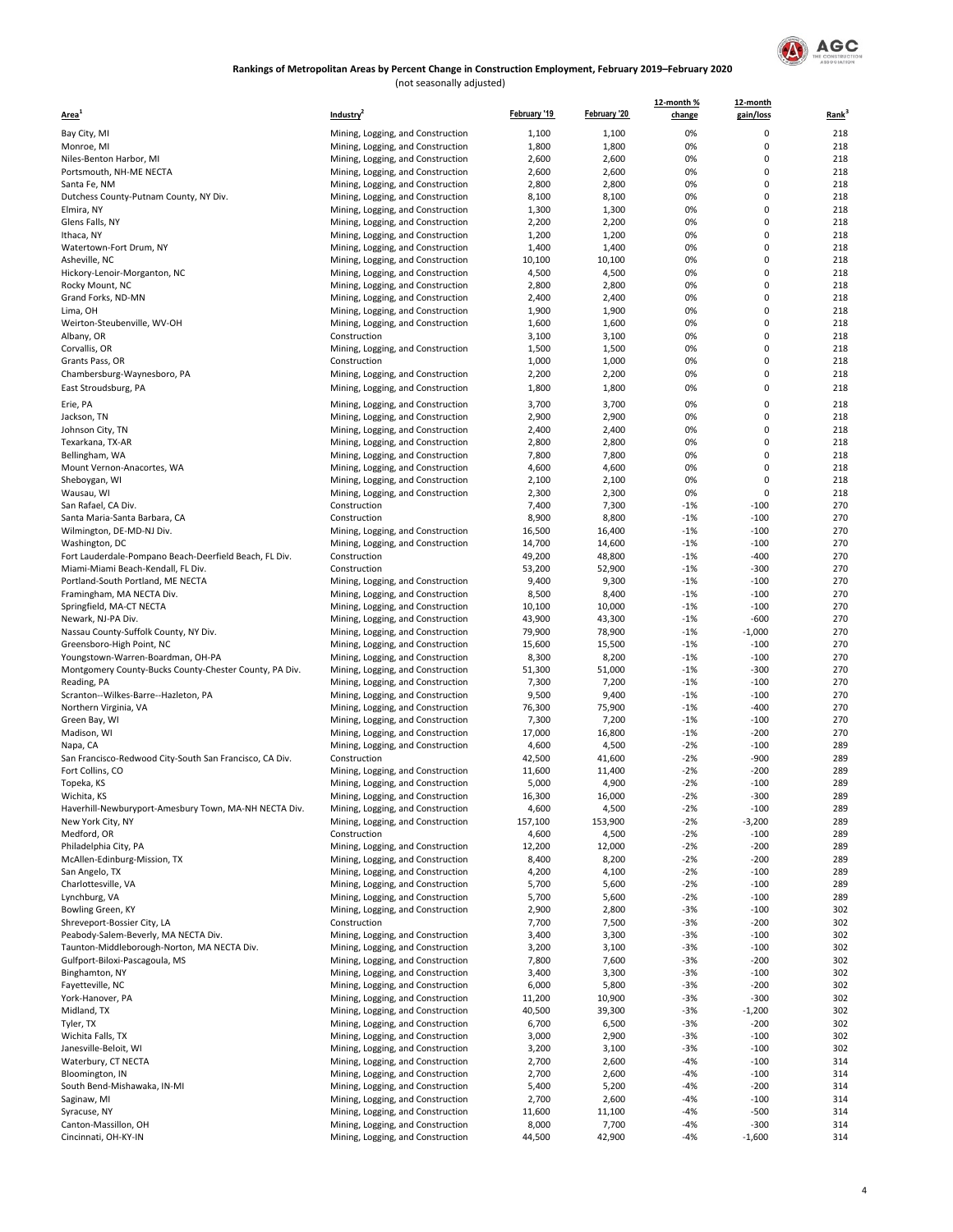

(not seasonally adjusted)

| Area <sup>'</sup>                                       | Industry <sup>4</sup>                                                  | February '19     | February '20    | 12-month %<br>change | 12-month<br>gain/loss    | Rank <sup>3</sup> |
|---------------------------------------------------------|------------------------------------------------------------------------|------------------|-----------------|----------------------|--------------------------|-------------------|
| Bay City, MI                                            | Mining, Logging, and Construction                                      | 1,100            | 1,100           | 0%                   | 0                        | 218               |
| Monroe, MI                                              | Mining, Logging, and Construction                                      | 1,800            | 1,800           | 0%                   | $\pmb{0}$                | 218               |
| Niles-Benton Harbor, MI                                 | Mining, Logging, and Construction                                      | 2,600            | 2,600           | 0%                   | $\pmb{0}$                | 218               |
| Portsmouth, NH-ME NECTA                                 | Mining, Logging, and Construction                                      | 2,600            | 2,600           | 0%                   | $\mathbf 0$              | 218               |
| Santa Fe, NM                                            | Mining, Logging, and Construction                                      | 2,800            | 2,800           | 0%                   | $\pmb{0}$                | 218               |
| Dutchess County-Putnam County, NY Div.                  | Mining, Logging, and Construction                                      | 8,100            | 8,100           | 0%                   | $\mathbf 0$              | 218               |
| Elmira, NY                                              | Mining, Logging, and Construction                                      | 1,300            | 1,300           | 0%                   | $\mathbf 0$              | 218               |
| Glens Falls, NY                                         | Mining, Logging, and Construction                                      | 2,200            | 2,200           | 0%                   | $\mathbf 0$              | 218               |
| Ithaca, NY                                              | Mining, Logging, and Construction                                      | 1,200            | 1,200           | 0%                   | 0                        | 218               |
| Watertown-Fort Drum, NY                                 | Mining, Logging, and Construction                                      | 1,400            | 1,400           | 0%<br>0%             | $\pmb{0}$<br>$\mathbf 0$ | 218<br>218        |
| Asheville, NC<br>Hickory-Lenoir-Morganton, NC           | Mining, Logging, and Construction<br>Mining, Logging, and Construction | 10,100<br>4,500  | 10,100<br>4,500 | 0%                   | $\pmb{0}$                | 218               |
| Rocky Mount, NC                                         | Mining, Logging, and Construction                                      | 2,800            | 2,800           | 0%                   | $\mathbf 0$              | 218               |
| Grand Forks, ND-MN                                      | Mining, Logging, and Construction                                      | 2,400            | 2,400           | 0%                   | $\pmb{0}$                | 218               |
| Lima, OH                                                | Mining, Logging, and Construction                                      | 1,900            | 1,900           | 0%                   | $\pmb{0}$                | 218               |
| Weirton-Steubenville, WV-OH                             | Mining, Logging, and Construction                                      | 1,600            | 1,600           | 0%                   | $\mathbf 0$              | 218               |
| Albany, OR                                              | Construction                                                           | 3,100            | 3,100           | 0%                   | $\pmb{0}$                | 218               |
| Corvallis, OR                                           | Mining, Logging, and Construction                                      | 1,500            | 1,500           | 0%                   | 0                        | 218               |
| Grants Pass, OR                                         | Construction                                                           | 1,000            | 1,000           | 0%                   | $\pmb{0}$                | 218               |
| Chambersburg-Waynesboro, PA                             | Mining, Logging, and Construction                                      | 2,200            | 2,200           | 0%                   | $\pmb{0}$                | 218               |
| East Stroudsburg, PA                                    | Mining, Logging, and Construction                                      | 1,800            | 1,800           | 0%                   | $\mathbf 0$              | 218               |
| Erie, PA                                                | Mining, Logging, and Construction                                      | 3,700            | 3,700           | 0%                   | $\mathbf 0$              | 218               |
| Jackson, TN                                             | Mining, Logging, and Construction                                      | 2,900            | 2,900           | 0%                   | $\pmb{0}$                | 218               |
| Johnson City, TN                                        | Mining, Logging, and Construction                                      | 2,400            | 2,400           | 0%                   | $\pmb{0}$                | 218               |
| Texarkana, TX-AR                                        | Mining, Logging, and Construction                                      | 2,800            | 2,800           | 0%                   | $\mathbf 0$              | 218               |
| Bellingham, WA                                          | Mining, Logging, and Construction                                      | 7,800            | 7,800           | 0%                   | $\pmb{0}$                | 218               |
| Mount Vernon-Anacortes, WA                              | Mining, Logging, and Construction                                      | 4,600            | 4,600           | 0%                   | $\mathbf 0$              | 218               |
| Sheboygan, WI                                           | Mining, Logging, and Construction                                      | 2,100            | 2,100           | 0%                   | $\pmb{0}$                | 218               |
| Wausau, WI                                              | Mining, Logging, and Construction                                      | 2,300            | 2,300           | 0%                   | $\mathbf 0$              | 218               |
| San Rafael, CA Div.                                     | Construction                                                           | 7,400            | 7,300           | $-1%$                | $-100$                   | 270               |
| Santa Maria-Santa Barbara, CA                           | Construction                                                           | 8,900            | 8,800           | $-1%$                | $-100$                   | 270               |
| Wilmington, DE-MD-NJ Div.                               | Mining, Logging, and Construction                                      | 16,500           | 16,400          | $-1%$                | $-100$                   | 270               |
| Washington, DC                                          | Mining, Logging, and Construction                                      | 14,700           | 14,600          | $-1%$                | $-100$                   | 270               |
| Fort Lauderdale-Pompano Beach-Deerfield Beach, FL Div.  | Construction                                                           | 49,200           | 48,800          | $-1%$                | $-400$                   | 270               |
| Miami-Miami Beach-Kendall, FL Div.                      | Construction                                                           | 53,200           | 52,900          | $-1%$                | $-300$                   | 270               |
| Portland-South Portland, ME NECTA                       | Mining, Logging, and Construction                                      | 9,400            | 9,300           | $-1%$                | $-100$                   | 270               |
| Framingham, MA NECTA Div.                               | Mining, Logging, and Construction                                      | 8,500            | 8,400           | $-1%$                | $-100$                   | 270               |
| Springfield, MA-CT NECTA                                | Mining, Logging, and Construction                                      | 10,100           | 10,000          | $-1%$                | $-100$                   | 270               |
| Newark, NJ-PA Div.                                      | Mining, Logging, and Construction                                      | 43,900           | 43,300          | $-1%$                | $-600$                   | 270               |
| Nassau County-Suffolk County, NY Div.                   | Mining, Logging, and Construction                                      | 79,900           | 78,900          | $-1%$                | $-1,000$                 | 270               |
| Greensboro-High Point, NC                               | Mining, Logging, and Construction                                      | 15,600           | 15,500          | $-1%$                | $-100$                   | 270               |
| Youngstown-Warren-Boardman, OH-PA                       | Mining, Logging, and Construction                                      | 8,300            | 8,200           | $-1%$                | $-100$                   | 270               |
| Montgomery County-Bucks County-Chester County, PA Div.  | Mining, Logging, and Construction                                      | 51,300           | 51,000          | $-1%$                | $-300$                   | 270               |
| Reading, PA                                             | Mining, Logging, and Construction                                      | 7,300            | 7,200           | $-1%$                | $-100$                   | 270               |
| Scranton--Wilkes-Barre--Hazleton, PA                    | Mining, Logging, and Construction                                      | 9,500            | 9,400           | $-1%$                | $-100$                   | 270               |
| Northern Virginia, VA                                   | Mining, Logging, and Construction                                      | 76,300<br>7,300  | 75,900<br>7,200 | $-1%$<br>$-1%$       | $-400$<br>$-100$         | 270<br>270        |
| Green Bay, WI<br>Madison, WI                            | Mining, Logging, and Construction<br>Mining, Logging, and Construction | 17,000           | 16,800          | $-1%$                | $-200$                   | 270               |
| Napa, CA                                                | Mining, Logging, and Construction                                      | 4,600            | 4,500           | $-2%$                | $-100$                   | 289               |
| San Francisco-Redwood City-South San Francisco, CA Div. | Construction                                                           | 42,500           | 41,600          | $-2%$                | $-900$                   | 289               |
| Fort Collins, CO                                        | Mining, Logging, and Construction                                      | 11,600           | 11,400          | $-2%$                | $-200$                   | 289               |
| Topeka, KS                                              | Mining, Logging, and Construction                                      | 5,000            | 4,900           | $-2%$                | $-100$                   | 289               |
| Wichita, KS                                             | Mining, Logging, and Construction                                      | 16,300           | 16,000          | -2%                  | $-300$                   | 289               |
| Haverhill-Newburyport-Amesbury Town, MA-NH NECTA Div.   | Mining, Logging, and Construction                                      | 4,600            | 4,500           | $-2%$                | $-100$                   | 289               |
| New York City, NY                                       | Mining, Logging, and Construction                                      | 157,100          | 153,900         | $-2%$                | $-3,200$                 | 289               |
| Medford, OR                                             | Construction                                                           | 4,600            | 4,500           | $-2%$                | $-100$                   | 289               |
| Philadelphia City, PA                                   | Mining, Logging, and Construction                                      | 12,200           | 12,000          | $-2%$                | $-200$                   | 289               |
| McAllen-Edinburg-Mission, TX                            | Mining, Logging, and Construction                                      | 8,400            | 8,200           | $-2%$                | $-200$                   | 289               |
| San Angelo, TX                                          | Mining, Logging, and Construction                                      | 4,200            | 4,100           | $-2%$                | $-100$                   | 289               |
| Charlottesville, VA                                     | Mining, Logging, and Construction                                      | 5,700            | 5,600           | $-2%$                | $-100$                   | 289               |
| Lynchburg, VA                                           | Mining, Logging, and Construction                                      | 5,700            | 5,600           | $-2%$                | $-100$                   | 289               |
| Bowling Green, KY                                       | Mining, Logging, and Construction                                      | 2,900            | 2,800           | $-3%$                | $-100$                   | 302               |
| Shreveport-Bossier City, LA                             | Construction                                                           | 7,700            | 7,500           | $-3%$                | $-200$                   | 302               |
| Peabody-Salem-Beverly, MA NECTA Div.                    | Mining, Logging, and Construction                                      | 3,400            | 3,300           | $-3%$                | $-100$                   | 302               |
| Taunton-Middleborough-Norton, MA NECTA Div.             | Mining, Logging, and Construction                                      | 3,200            | 3,100           | $-3%$                | $-100$                   | 302               |
| Gulfport-Biloxi-Pascagoula, MS                          | Mining, Logging, and Construction                                      | 7,800            | 7,600           | $-3%$                | $-200$                   | 302               |
| Binghamton, NY                                          | Mining, Logging, and Construction                                      | 3,400            | 3,300           | $-3%$                | $-100$                   | 302               |
| Fayetteville, NC                                        | Mining, Logging, and Construction                                      | 6,000            | 5,800           | $-3%$                | $-200$                   | 302               |
| York-Hanover, PA<br>Midland, TX                         | Mining, Logging, and Construction                                      | 11,200<br>40,500 | 10,900          | $-3%$<br>-3%         | $-300$                   | 302<br>302        |
| Tyler, TX                                               | Mining, Logging, and Construction                                      | 6,700            | 39,300<br>6,500 | $-3%$                | $-1,200$<br>$-200$       | 302               |
| Wichita Falls, TX                                       | Mining, Logging, and Construction<br>Mining, Logging, and Construction | 3,000            | 2,900           | -3%                  | $-100$                   | 302               |
| Janesville-Beloit, WI                                   | Mining, Logging, and Construction                                      | 3,200            | 3,100           | $-3%$                | $-100$                   | 302               |
| Waterbury, CT NECTA                                     | Mining, Logging, and Construction                                      | 2,700            | 2,600           | $-4%$                | $-100$                   | 314               |
| Bloomington, IN                                         | Mining, Logging, and Construction                                      | 2,700            | 2,600           | $-4%$                | $-100$                   | 314               |
| South Bend-Mishawaka, IN-MI                             | Mining, Logging, and Construction                                      | 5,400            | 5,200           | $-4%$                | $-200$                   | 314               |
| Saginaw, MI                                             | Mining, Logging, and Construction                                      | 2,700            | 2,600           | -4%                  | $-100$                   | 314               |
| Syracuse, NY                                            | Mining, Logging, and Construction                                      | 11,600           | 11,100          | $-4%$                | $-500$                   | 314               |
| Canton-Massillon, OH                                    | Mining, Logging, and Construction                                      | 8,000            | 7,700           | $-4%$                | $-300$                   | 314               |
| Cincinnati, OH-KY-IN                                    | Mining, Logging, and Construction                                      | 44,500           | 42,900          | $-4%$                | $-1,600$                 | 314               |